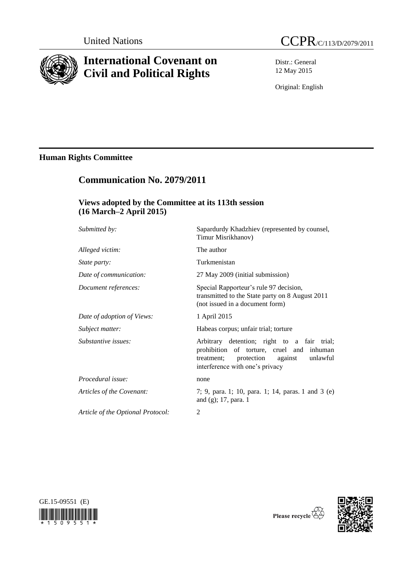

# **International Covenant on Civil and Political Rights**

Distr.: General 12 May 2015

Original: English

# **Human Rights Committee**

# **Communication No. 2079/2011**

## **Views adopted by the Committee at its 113th session (16 March–2 April 2015)**

| Submitted by:                     | Sapardurdy Khadzhiev (represented by counsel,<br>Timur Misrikhanov)                                                                                                            |
|-----------------------------------|--------------------------------------------------------------------------------------------------------------------------------------------------------------------------------|
| Alleged victim:                   | The author                                                                                                                                                                     |
| <i>State party:</i>               | Turkmenistan                                                                                                                                                                   |
| Date of communication:            | 27 May 2009 (initial submission)                                                                                                                                               |
| Document references:              | Special Rapporteur's rule 97 decision,<br>transmitted to the State party on 8 August 2011<br>(not issued in a document form)                                                   |
| Date of adoption of Views:        | 1 April 2015                                                                                                                                                                   |
| Subject matter:                   | Habeas corpus; unfair trial; torture                                                                                                                                           |
| Substantive issues:               | Arbitrary detention; right to a fair trial;<br>prohibition of torture, cruel and inhuman<br>protection<br>unlawful<br>treatment;<br>against<br>interference with one's privacy |
| Procedural issue:                 | none                                                                                                                                                                           |
| Articles of the Covenant:         | 7; 9, para. 1; 10, para. 1; 14, paras. 1 and 3 (e)<br>and (g); 17, para. 1                                                                                                     |
| Article of the Optional Protocol: | 2                                                                                                                                                                              |
|                                   |                                                                                                                                                                                |





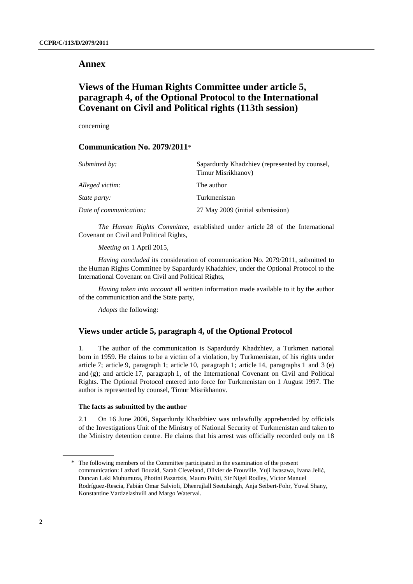### **Annex**

# **Views of the Human Rights Committee under article 5, paragraph 4, of the Optional Protocol to the International Covenant on Civil and Political rights (113th session)**

concerning

## **Communication No. 2079/2011**\*

| Submitted by:          | Sapardurdy Khadzhiev (represented by counsel,<br>Timur Misrikhanov) |
|------------------------|---------------------------------------------------------------------|
| Alleged victim:        | The author                                                          |
| <i>State party:</i>    | Turkmenistan                                                        |
| Date of communication: | 27 May 2009 (initial submission)                                    |

*The Human Rights Committee*, established under article 28 of the International Covenant on Civil and Political Rights,

*Meeting on* 1 April 2015,

*Having concluded* its consideration of communication No. 2079/2011, submitted to the Human Rights Committee by Sapardurdy Khadzhiev, under the Optional Protocol to the International Covenant on Civil and Political Rights,

*Having taken into account* all written information made available to it by the author of the communication and the State party,

*Adopts* the following:

## **Views under article 5, paragraph 4, of the Optional Protocol**

1. The author of the communication is Sapardurdy Khadzhiev, a Turkmen national born in 1959. He claims to be a victim of a violation, by Turkmenistan, of his rights under article 7; article 9, paragraph 1; article 10, paragraph 1; article 14, paragraphs 1 and 3 (e) and (g); and article 17, paragraph 1, of the International Covenant on Civil and Political Rights. The Optional Protocol entered into force for Turkmenistan on 1 August 1997. The author is represented by counsel, Timur Misrikhanov.

#### **The facts as submitted by the author**

2.1 On 16 June 2006, Sapardurdy Khadzhiev was unlawfully apprehended by officials of the Investigations Unit of the Ministry of National Security of Turkmenistan and taken to the Ministry detention centre. He claims that his arrest was officially recorded only on 18

<sup>\*</sup> The following members of the Committee participated in the examination of the present communication: Lazhari Bouzid, Sarah Cleveland, Olivier de Frouville, Yuji Iwasawa, Ivana Jelić, Duncan Laki Muhumuza, Photini Pazartzis, Mauro Politi, Sir Nigel Rodley, Víctor Manuel Rodríguez-Rescia, Fabián Omar Salvioli, Dheerujlall Seetulsingh, Anja Seibert-Fohr, Yuval Shany, Konstantine Vardzelashvili and Margo Waterval.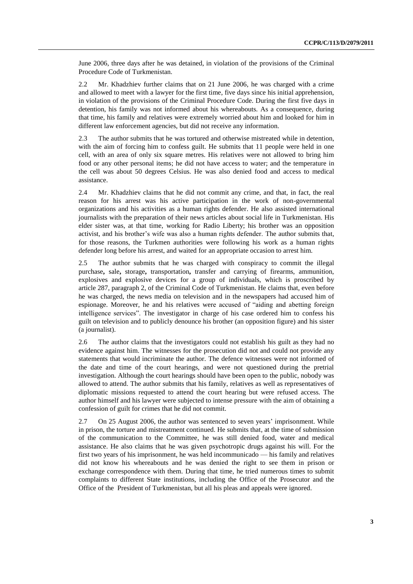June 2006, three days after he was detained, in violation of the provisions of the Criminal Procedure Code of Turkmenistan.

2.2 Mr. Khadzhiev further claims that on 21 June 2006, he was charged with a crime and allowed to meet with a lawyer for the first time, five days since his initial apprehension, in violation of the provisions of the Criminal Procedure Code. During the first five days in detention, his family was not informed about his whereabouts. As a consequence, during that time, his family and relatives were extremely worried about him and looked for him in different law enforcement agencies, but did not receive any information.

2.3 The author submits that he was tortured and otherwise mistreated while in detention, with the aim of forcing him to confess guilt. He submits that 11 people were held in one cell, with an area of only six square metres. His relatives were not allowed to bring him food or any other personal items; he did not have access to water; and the temperature in the cell was about 50 degrees Celsius. He was also denied food and access to medical assistance.

2.4 Mr. Khadzhiev claims that he did not commit any crime, and that, in fact, the real reason for his arrest was his active participation in the work of non-governmental organizations and his activities as a human rights defender. He also assisted international journalists with the preparation of their news articles about social life in Turkmenistan. His elder sister was, at that time, working for Radio Liberty; his brother was an opposition activist, and his brother's wife was also a human rights defender. The author submits that, for those reasons, the Turkmen authorities were following his work as a human rights defender long before his arrest, and waited for an appropriate occasion to arrest him.

2.5 The author submits that he was charged with conspiracy to commit the illegal purchase**,** sale**,** storage**,** transportation**,** transfer and carrying of firearms, ammunition, explosives and explosive devices for a group of individuals, which is proscribed by article 287, paragraph 2, of the Criminal Code of Turkmenistan. He claims that, even before he was charged, the news media on television and in the newspapers had accused him of espionage. Moreover, he and his relatives were accused of "aiding and abetting foreign intelligence services". The investigator in charge of his case ordered him to confess his guilt on television and to publicly denounce his brother (an opposition figure) and his sister (a journalist).

2.6 The author claims that the investigators could not establish his guilt as they had no evidence against him. The witnesses for the prosecution did not and could not provide any statements that would incriminate the author. The defence witnesses were not informed of the date and time of the court hearings, and were not questioned during the pretrial investigation. Although the court hearings should have been open to the public, nobody was allowed to attend. The author submits that his family, relatives as well as representatives of diplomatic missions requested to attend the court hearing but were refused access. The author himself and his lawyer were subjected to intense pressure with the aim of obtaining a confession of guilt for crimes that he did not commit.

2.7 On 25 August 2006, the author was sentenced to seven years' imprisonment. While in prison, the torture and mistreatment continued. He submits that, at the time of submission of the communication to the Committee, he was still denied food, water and medical assistance. He also claims that he was given psychotropic drugs against his will. For the first two years of his imprisonment, he was held incommunicado — his family and relatives did not know his whereabouts and he was denied the right to see them in prison or exchange correspondence with them. During that time, he tried numerous times to submit complaints to different State institutions, including the Office of the Prosecutor and the Office of the President of Turkmenistan, but all his pleas and appeals were ignored.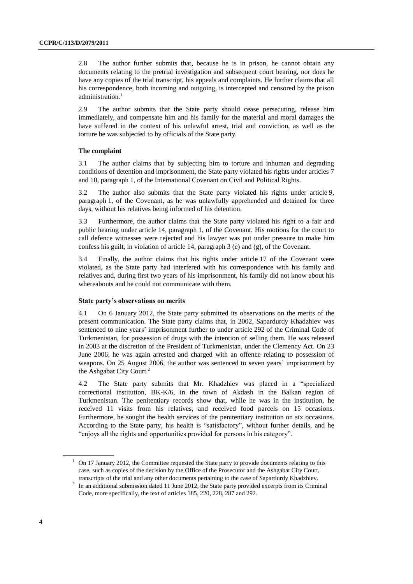2.8 The author further submits that, because he is in prison, he cannot obtain any documents relating to the pretrial investigation and subsequent court hearing, nor does he have any copies of the trial transcript, his appeals and complaints. He further claims that all his correspondence, both incoming and outgoing, is intercepted and censored by the prison administration. 1

2.9 The author submits that the State party should cease persecuting, release him immediately, and compensate him and his family for the material and moral damages the have suffered in the context of his unlawful arrest, trial and conviction, as well as the torture he was subjected to by officials of the State party.

#### **The complaint**

3.1 The author claims that by subjecting him to torture and inhuman and degrading conditions of detention and imprisonment, the State party violated his rights under articles 7 and 10, paragraph 1, of the International Covenant on Civil and Political Rights.

3.2 The author also submits that the State party violated his rights under article 9, paragraph 1, of the Covenant, as he was unlawfully apprehended and detained for three days, without his relatives being informed of his detention.

3.3 Furthermore, the author claims that the State party violated his right to a fair and public hearing under article 14, paragraph 1, of the Covenant. His motions for the court to call defence witnesses were rejected and his lawyer was put under pressure to make him confess his guilt, in violation of article 14, paragraph 3 (e) and (g), of the Covenant.

3.4 Finally, the author claims that his rights under article 17 of the Covenant were violated, as the State party had interfered with his correspondence with his family and relatives and, during first two years of his imprisonment, his family did not know about his whereabouts and he could not communicate with them.

#### **State party's observations on merits**

4.1 On 6 January 2012, the State party submitted its observations on the merits of the present communication. The State party claims that, in 2002, Sapardurdy Khadzhiev was sentenced to nine years' imprisonment further to under article 292 of the Criminal Code of Turkmenistan, for possession of drugs with the intention of selling them. He was released in 2003 at the discretion of the President of Turkmenistan, under the Clemency Act. On 23 June 2006, he was again arrested and charged with an offence relating to possession of weapons. On 25 August 2006, the author was sentenced to seven years' imprisonment by the Ashgabat City Court. 2

4.2 The State party submits that Mr. Khadzhiev was placed in a "specialized correctional institution, BK-K/6, in the town of Akdash in the Balkan region of Turkmenistan. The penitentiary records show that, while he was in the institution, he received 11 visits from his relatives, and received food parcels on 15 occasions. Furthermore, he sought the health services of the penitentiary institution on six occasions. According to the State party, his health is "satisfactory", without further details, and he "enjoys all the rights and opportunities provided for persons in his category".

<sup>&</sup>lt;sup>1</sup> On 17 January 2012, the Committee requested the State party to provide documents relating to this case, such as copies of the decision by the Office of the Prosecutor and the Ashgabat City Court, transcripts of the trial and any other documents pertaining to the case of Sapardurdy Khadzhiev.

 $2 \text{ In an additional submission dated 11 June 2012, the State party provided excepts from its Criminal$ Code, more specifically, the text of articles 185, 220, 228, 287 and 292.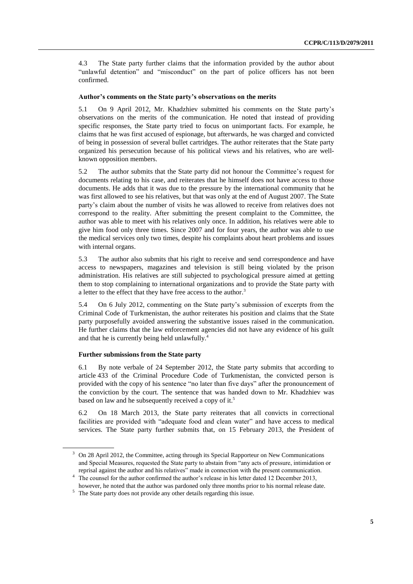4.3 The State party further claims that the information provided by the author about "unlawful detention" and "misconduct" on the part of police officers has not been confirmed.

#### **Author's comments on the State party's observations on the merits**

5.1 On 9 April 2012, Mr. Khadzhiev submitted his comments on the State party's observations on the merits of the communication. He noted that instead of providing specific responses, the State party tried to focus on unimportant facts. For example, he claims that he was first accused of espionage, but afterwards, he was charged and convicted of being in possession of several bullet cartridges. The author reiterates that the State party organized his persecution because of his political views and his relatives, who are wellknown opposition members.

5.2 The author submits that the State party did not honour the Committee's request for documents relating to his case, and reiterates that he himself does not have access to those documents. He adds that it was due to the pressure by the international community that he was first allowed to see his relatives, but that was only at the end of August 2007. The State party's claim about the number of visits he was allowed to receive from relatives does not correspond to the reality. After submitting the present complaint to the Committee, the author was able to meet with his relatives only once. In addition, his relatives were able to give him food only three times. Since 2007 and for four years, the author was able to use the medical services only two times, despite his complaints about heart problems and issues with internal organs.

5.3 The author also submits that his right to receive and send correspondence and have access to newspapers, magazines and television is still being violated by the prison administration. His relatives are still subjected to psychological pressure aimed at getting them to stop complaining to international organizations and to provide the State party with a letter to the effect that they have free access to the author.<sup>3</sup>

5.4 On 6 July 2012, commenting on the State party's submission of excerpts from the Criminal Code of Turkmenistan, the author reiterates his position and claims that the State party purposefully avoided answering the substantive issues raised in the communication. He further claims that the law enforcement agencies did not have any evidence of his guilt and that he is currently being held unlawfully. 4

### **Further submissions from the State party**

6.1 By note verbale of 24 September 2012, the State party submits that according to article 433 of the Criminal Procedure Code of Turkmenistan, the convicted person is provided with the copy of his sentence "no later than five days" after the pronouncement of the conviction by the court. The sentence that was handed down to Mr. Khadzhiev was based on law and he subsequently received a copy of it.<sup>5</sup>

6.2 On 18 March 2013, the State party reiterates that all convicts in correctional facilities are provided with "adequate food and clean water" and have access to medical services. The State party further submits that, on 15 February 2013, the President of

<sup>&</sup>lt;sup>3</sup> On 28 April 2012, the Committee, acting through its Special Rapporteur on New Communications and Special Measures, requested the State party to abstain from "any acts of pressure, intimidation or reprisal against the author and his relatives" made in connection with the present communication.

<sup>&</sup>lt;sup>4</sup> The counsel for the author confirmed the author's release in his letter dated 12 December 2013, however, he noted that the author was pardoned only three months prior to his normal release date.

<sup>&</sup>lt;sup>5</sup> The State party does not provide any other details regarding this issue.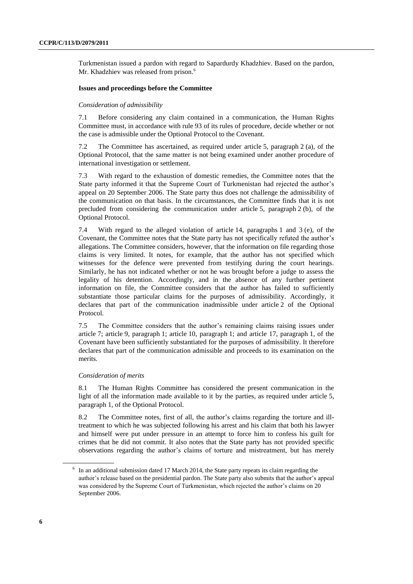Turkmenistan issued a pardon with regard to Sapardurdy Khadzhiev. Based on the pardon, Mr. Khadzhiev was released from prison.<sup>6</sup>

#### **Issues and proceedings before the Committee**

#### *Consideration of admissibility*

7.1 Before considering any claim contained in a communication, the Human Rights Committee must, in accordance with rule 93 of its rules of procedure, decide whether or not the case is admissible under the Optional Protocol to the Covenant.

7.2 The Committee has ascertained, as required under article 5, paragraph 2 (a), of the Optional Protocol, that the same matter is not being examined under another procedure of international investigation or settlement.

7.3 With regard to the exhaustion of domestic remedies, the Committee notes that the State party informed it that the Supreme Court of Turkmenistan had rejected the author's appeal on 20 September 2006. The State party thus does not challenge the admissibility of the communication on that basis. In the circumstances, the Committee finds that it is not precluded from considering the communication under article 5, paragraph 2 (b), of the Optional Protocol.

7.4 With regard to the alleged violation of article 14, paragraphs 1 and 3 (e), of the Covenant, the Committee notes that the State party has not specifically refuted the author's allegations. The Committee considers, however, that the information on file regarding those claims is very limited. It notes, for example, that the author has not specified which witnesses for the defence were prevented from testifying during the court hearings. Similarly, he has not indicated whether or not he was brought before a judge to assess the legality of his detention. Accordingly, and in the absence of any further pertinent information on file, the Committee considers that the author has failed to sufficiently substantiate those particular claims for the purposes of admissibility. Accordingly, it declares that part of the communication inadmissible under article 2 of the Optional Protocol.

7.5 The Committee considers that the author's remaining claims raising issues under article 7; article 9, paragraph 1; article 10, paragraph 1; and article 17, paragraph 1, of the Covenant have been sufficiently substantiated for the purposes of admissibility. It therefore declares that part of the communication admissible and proceeds to its examination on the merits.

#### *Consideration of merits*

8.1 The Human Rights Committee has considered the present communication in the light of all the information made available to it by the parties, as required under article 5, paragraph 1, of the Optional Protocol.

8.2 The Committee notes, first of all, the author's claims regarding the torture and illtreatment to which he was subjected following his arrest and his claim that both his lawyer and himself were put under pressure in an attempt to force him to confess his guilt for crimes that he did not commit. It also notes that the State party has not provided specific observations regarding the author's claims of torture and mistreatment, but has merely

 $6\;$  In an additional submission dated 17 March 2014, the State party repeats its claim regarding the author's release based on the presidential pardon. The State party also submits that the author's appeal was considered by the Supreme Court of Turkmenistan, which rejected the author's claims on 20 September 2006.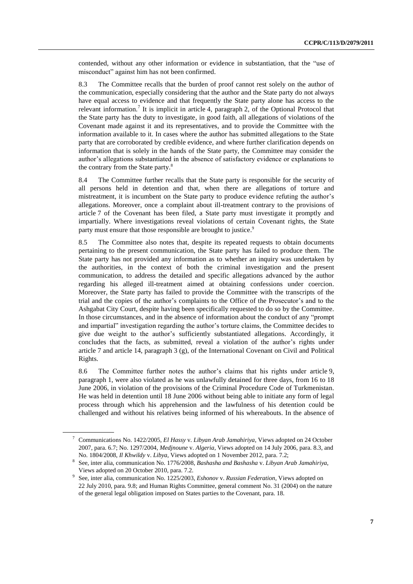contended, without any other information or evidence in substantiation, that the "use of misconduct" against him has not been confirmed.

8.3 The Committee recalls that the burden of proof cannot rest solely on the author of the communication, especially considering that the author and the State party do not always have equal access to evidence and that frequently the State party alone has access to the relevant information.<sup>7</sup> It is implicit in article 4, paragraph 2, of the Optional Protocol that the State party has the duty to investigate, in good faith, all allegations of violations of the Covenant made against it and its representatives, and to provide the Committee with the information available to it. In cases where the author has submitted allegations to the State party that are corroborated by credible evidence, and where further clarification depends on information that is solely in the hands of the State party, the Committee may consider the author's allegations substantiated in the absence of satisfactory evidence or explanations to the contrary from the State party.<sup>8</sup>

8.4 The Committee further recalls that the State party is responsible for the security of all persons held in detention and that, when there are allegations of torture and mistreatment, it is incumbent on the State party to produce evidence refuting the author's allegations. Moreover, once a complaint about ill-treatment contrary to the provisions of article 7 of the Covenant has been filed, a State party must investigate it promptly and impartially. Where investigations reveal violations of certain Covenant rights, the State party must ensure that those responsible are brought to justice.<sup>9</sup>

8.5 The Committee also notes that, despite its repeated requests to obtain documents pertaining to the present communication, the State party has failed to produce them. The State party has not provided any information as to whether an inquiry was undertaken by the authorities, in the context of both the criminal investigation and the present communication, to address the detailed and specific allegations advanced by the author regarding his alleged ill-treatment aimed at obtaining confessions under coercion. Moreover, the State party has failed to provide the Committee with the transcripts of the trial and the copies of the author's complaints to the Office of the Prosecutor's and to the Ashgabat City Court, despite having been specifically requested to do so by the Committee. In those circumstances, and in the absence of information about the conduct of any "prompt and impartial" investigation regarding the author's torture claims, the Committee decides to give due weight to the author's sufficiently substantiated allegations. Accordingly, it concludes that the facts, as submitted, reveal a violation of the author's rights under article 7 and article 14, paragraph 3 (g), of the International Covenant on Civil and Political Rights.

8.6 The Committee further notes the author's claims that his rights under article 9, paragraph 1, were also violated as he was unlawfully detained for three days, from 16 to 18 June 2006, in violation of the provisions of the Criminal Procedure Code of Turkmenistan. He was held in detention until 18 June 2006 without being able to initiate any form of legal process through which his apprehension and the lawfulness of his detention could be challenged and without his relatives being informed of his whereabouts. In the absence of

<sup>7</sup> Communications No. 1422/2005, *El Hassy* v. *Libyan Arab Jamahiriya*, Views adopted on 24 October 2007, para. 6.7; No. 1297/2004, *Medjnoune* v. *Algeria*, Views adopted on 14 July 2006, para. 8.3, and No. 1804/2008, *Il Khwildy* v. *Libya*, Views adopted on 1 November 2012, para. 7.2;

<sup>8</sup> See, inter alia, communication No. 1776/2008, *Bashasha and Bashasha* v. *Libyan Arab Jamahiriya*, Views adopted on 20 October 2010, para. 7.2. 9

See, inter alia, communication No. 1225/2003, *Eshonov* v. *Russian Federation*, Views adopted on 22 July 2010, para. 9.8; and Human Rights Committee, general comment No. 31 (2004) on the nature of the general legal obligation imposed on States parties to the Covenant, para. 18.